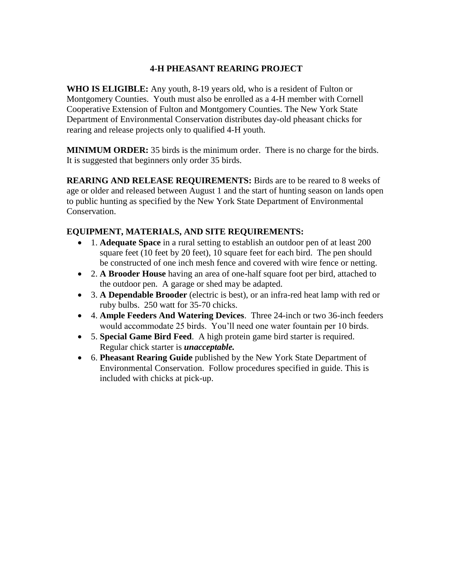## **4-H PHEASANT REARING PROJECT**

**WHO IS ELIGIBLE:** Any youth, 8-19 years old, who is a resident of Fulton or Montgomery Counties. Youth must also be enrolled as a 4-H member with Cornell Cooperative Extension of Fulton and Montgomery Counties. The New York State Department of Environmental Conservation distributes day-old pheasant chicks for rearing and release projects only to qualified 4-H youth.

**MINIMUM ORDER:** 35 birds is the minimum order. There is no charge for the birds. It is suggested that beginners only order 35 birds.

**REARING AND RELEASE REQUIREMENTS:** Birds are to be reared to 8 weeks of age or older and released between August 1 and the start of hunting season on lands open to public hunting as specified by the New York State Department of Environmental Conservation.

## **EQUIPMENT, MATERIALS, AND SITE REQUIREMENTS:**

- 1. **Adequate Space** in a rural setting to establish an outdoor pen of at least 200 square feet (10 feet by 20 feet), 10 square feet for each bird. The pen should be constructed of one inch mesh fence and covered with wire fence or netting.
- 2. **A Brooder House** having an area of one-half square foot per bird, attached to the outdoor pen. A garage or shed may be adapted.
- 3. **A Dependable Brooder** (electric is best), or an infra-red heat lamp with red or ruby bulbs. 250 watt for 35-70 chicks.
- 4. **Ample Feeders And Watering Devices**. Three 24-inch or two 36-inch feeders would accommodate 25 birds. You'll need one water fountain per 10 birds.
- 5. **Special Game Bird Feed**. A high protein game bird starter is required. Regular chick starter is *unacceptable.*
- 6. **Pheasant Rearing Guide** published by the New York State Department of Environmental Conservation. Follow procedures specified in guide. This is included with chicks at pick-up.